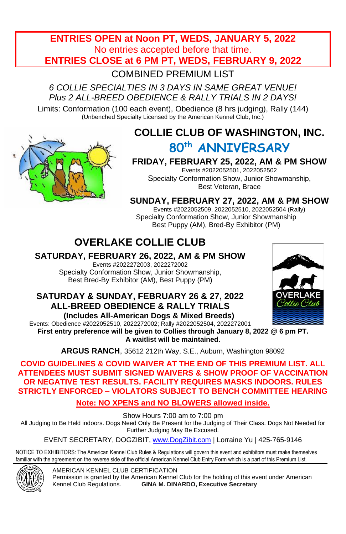### **ENTRIES OPEN at Noon PT, WEDS, JANUARY 5, 2022** No entries accepted before that time. **ENTRIES CLOSE at 6 PM PT, WEDS, FEBRUARY 9, 2022**

### COMBINED PREMIUM LIST

*6 COLLIE SPECIALTIES IN 3 DAYS IN SAME GREAT VENUE! Plus 2 ALL-BREED OBEDIENCE & RALLY TRIALS IN 2 DAYS!*

Limits: Conformation (100 each event), Obedience (8 hrs judging), Rally (144) (Unbenched Specialty Licensed by the American Kennel Club, Inc.)



**FRIDAY, FEBRUARY 25, 2022, AM & PM SHOW**

Events #2022052501, 2022052502 Specialty Conformation Show, Junior Showmanship, Best Veteran, Brace

### **SUNDAY, FEBRUARY 27, 2022, AM & PM SHOW**

Events #2022052509, 2022052510, 2022052504 (Rally) Specialty Conformation Show, Junior Showmanship Best Puppy (AM), Bred-By Exhibitor (PM)

# **OVERLAKE COLLIE CLUB**

**SATURDAY, FEBRUARY 26, 2022, AM & PM SHOW** Events #2022272003, 2022272002

Specialty Conformation Show, Junior Showmanship, Best Bred-By Exhibitor (AM), Best Puppy (PM)

**SATURDAY & SUNDAY, FEBRUARY 26 & 27, 2022 ALL-BREED OBEDIENCE & RALLY TRIALS (Includes All-American Dogs & Mixed Breeds)**

Events: Obedience #2022052510, 2022272002; Rally #2022052504, 2022272001 **First entry preference will be given to Collies through January 8, 2022 @ 6 pm PT. A waitlist will be maintained.**

**ARGUS RANCH**, 35612 212th Way, S.E., Auburn, Washington 98092

**COVID GUIDELINES & COVID WAIVER AT THE END OF THIS PREMIUM LIST. ALL ATTENDEES MUST SUBMIT SIGNED WAIVERS & SHOW PROOF OF VACCINATION OR NEGATIVE TEST RESULTS. FACILITY REQUIRES MASKS INDOORS. RULES STRICTLY ENFORCED – VIOLATORS SUBJECT TO BENCH COMMITTEE HEARING**

**Note: NO XPENS and NO BLOWERS allowed inside.**

Show Hours 7:00 am to 7:00 pm

All Judging to Be Held indoors. Dogs Need Only Be Present for the Judging of Their Class. Dogs Not Needed for Further Judging May Be Excused.

EVENT SECRETARY, DOGZIBIT, [www.DogZibit.com](http://www.dogzibit.com/) | Lorraine Yu | 425-765-9146

NOTICE TO EXHIBITORS: The American Kennel Club Rules & Regulations will govern this event and exhibitors must make themselves familiar with the agreement on the reverse side of the official American Kennel Club Entry Form which is a part of this Premium List.



AMERICAN KENNEL CLUB CERTIFICATION

Permission is granted by the American Kennel Club for the holding of this event under American Kennel Club Regulations. **GINA M. DINARDO, Executive Secretary**



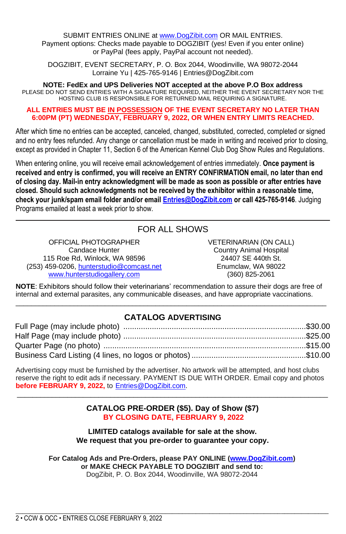SUBMIT ENTRIES ONLINE a[t www.DogZibit.com](http://www.dogzibit.com/) OR MAIL ENTRIES. Payment options: Checks made payable to DOGZIBIT (yes! Even if you enter online) or PayPal (fees apply, PayPal account not needed).

DOGZIBIT, EVENT SECRETARY, P. O. Box 2044, Woodinville, WA 98072-2044 Lorraine Yu | 425-765-9146 | Entries@DogZibit.com

**NOTE: FedEx and UPS Deliveries NOT accepted at the above P.O Box address** PLEASE DO NOT SEND ENTRIES WITH A SIGNATURE REQUIRED, NEITHER THE EVENT SECRETARY NOR THE HOSTING CLUB IS RESPONSIBLE FOR RETURNED MAIL REQUIRING A SIGNATURE.

#### **ALL ENTRIES MUST BE IN POSSESSION OF THE EVENT SECRETARY NO LATER THAN 6:00PM (PT) WEDNESDAY, FEBRUARY 9, 2022, OR WHEN ENTRY LIMITS REACHED.**

After which time no entries can be accepted, canceled, changed, substituted, corrected, completed or signed and no entry fees refunded. Any change or cancellation must be made in writing and received prior to closing, except as provided in Chapter 11, Section 6 of the American Kennel Club Dog Show Rules and Regulations.

When entering online, you will receive email acknowledgement of entries immediately. **Once payment is received and entry is confirmed, you will receive an ENTRY CONFIRMATION email, no later than end of closing day. Mail-in entry acknowledgment will be made as soon as possible or after entries have closed. Should such acknowledgments not be received by the exhibitor within a reasonable time, check your junk/spam email folder and/or emai[l Entries@DogZibit.com](mailto:Entries@DogZibit.com) or call 425-765-9146**. Judging Programs emailed at least a week prior to show.

### FOR ALL SHOWS

OFFICIAL PHOTOGRAPHER Candace Hunter 115 Roe Rd, Winlock, WA 98596 (253) 459-0206, [hunterstudio@comcast.net](mailto:hunterstudio@comcast.net) [www.hunterstudiogallery.com](http://www.hunterstudiogallery.com/)

VETERINARIAN (ON CALL) Country Animal Hospital 24407 SE 440th St. Enumclaw, WA 98022 (360) 825-2061

**NOTE**: Exhibitors should follow their veterinarians' recommendation to assure their dogs are free of internal and external parasites, any communicable diseases, and have appropriate vaccinations. \_\_\_\_\_\_\_\_\_\_\_\_\_\_\_\_\_\_\_\_\_\_\_\_\_\_\_\_\_\_\_\_\_\_\_\_\_\_\_\_\_\_\_\_\_\_\_\_\_\_\_\_\_\_\_\_\_\_\_\_\_\_\_\_\_\_\_\_\_\_\_\_\_\_\_\_\_\_\_\_

### **CATALOG ADVERTISING**

Advertising copy must be furnished by the advertiser. No artwork will be attempted, and host clubs reserve the right to edit ads if necessary. PAYMENT IS DUE WITH ORDER. Email copy and photos **before FEBRUARY 9, 2022,** to [Entries@DogZibit.com.](mailto:Entries@DogZibit.com) \_\_\_\_\_\_\_\_\_\_\_\_\_\_\_\_\_\_\_\_\_\_\_\_\_\_\_\_\_\_\_\_\_\_\_\_\_\_\_\_\_\_\_\_\_\_\_\_\_\_\_\_\_\_\_\_\_\_\_\_\_\_\_\_\_\_\_\_\_\_\_\_\_\_\_\_\_\_\_\_

> **CATALOG PRE-ORDER (\$5). Day of Show (\$7) BY CLOSING DATE, FEBRUARY 9, 2022**

**LIMITED catalogs available for sale at the show. We request that you pre-order to guarantee your copy.**

**For Catalog Ads and Pre-Orders, please PAY ONLINE [\(www.DogZibit.com\)](http://www.dogzibit.com/) or MAKE CHECK PAYABLE TO DOGZIBIT and send to:** DogZibit, P. O. Box 2044, Woodinville, WA 98072-2044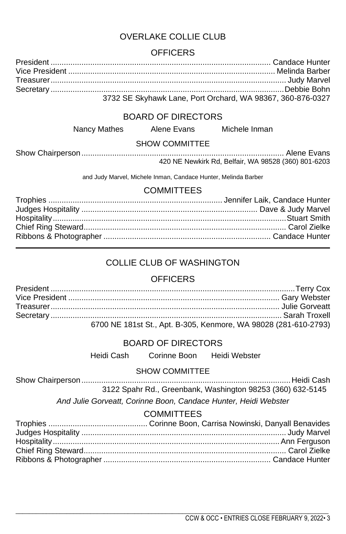### OVERLAKE COLLIE CLUB

### **OFFICERS**

3732 SE Skyhawk Lane, Port Orchard, WA 98367, 360-876-0327

### BOARD OF DIRECTORS

Nancy Mathes Alene Evans Michele Inman

#### SHOW COMMITTEE

Show Chairperson............................................................................................ Alene Evans 420 NE Newkirk Rd, Belfair, WA 98528 (360) 801-6203

and Judy Marvel, Michele Inman, Candace Hunter, Melinda Barber

### **COMMITTEES**

### COLLIE CLUB OF WASHINGTON

#### **OFFICERS**

| 6700 NE 181st St., Apt. B-305, Kenmore, WA 98028 (281-610-2793) |  |
|-----------------------------------------------------------------|--|

### BOARD OF DIRECTORS

Heidi Cash Corinne Boon Heidi Webster

#### SHOW COMMITTEE

Show Chairperson...............................................................................................Heidi Cash 3122 Spahr Rd., Greenbank, Washington 98253 (360) 632-5145

*And Julie Gorveatt, Corinne Boon, Candace Hunter, Heidi Webster*

### **COMMITTEES**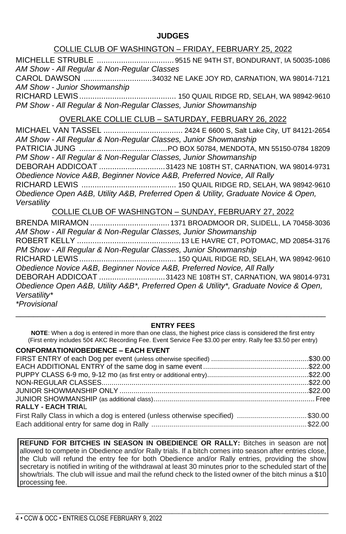### **JUDGES**

#### COLLIE CLUB OF WASHINGTON – FRIDAY, FEBRUARY 25, 2022

MICHELLE STRUBLE ................................... 9515 NE 94TH ST, BONDURANT, IA 50035-1086 *AM Show - All Regular & Non-Regular Classes* CAROL DAWSON ...............................34032 NE LAKE JOY RD, CARNATION, WA 98014-7121 *AM Show - Junior Showmanship* RICHARD LEWIS............................................ 150 QUAIL RIDGE RD, SELAH, WA 98942-9610 *PM Show - All Regular & Non-Regular Classes, Junior Showmanship*

#### OVERLAKE COLLIE CLUB – SATURDAY, FEBRUARY 26, 2022

MICHAEL VAN TASSEL .................................... 2424 E 6600 S, Salt Lake City, UT 84121-2654 *AM Show - All Regular & Non-Regular Classes, Junior Showmanship* PATRICIA JUNG ........................................PO BOX 50784, MENDOTA, MN 55150-0784 18209 *PM Show - All Regular & Non-Regular Classes, Junior Showmanship* DEBORAH ADDICOAT ..............................31423 NE 108TH ST, CARNATION, WA 98014-9731 *Obedience Novice A&B, Beginner Novice A&B, Preferred Novice, All Rally*  RICHARD LEWIS ........................................... 150 QUAIL RIDGE RD, SELAH, WA 98942-9610 *Obedience Open A&B, Utility A&B, Preferred Open & Utility, Graduate Novice & Open, Versatility* COLLIE CLUB OF WASHINGTON – SUNDAY, FEBRUARY 27, 2022 BRENDA MIRAMON ....................................1371 BROADMOOR DR, SLIDELL, LA 70458-3036 *AM Show - All Regular & Non-Regular Classes, Junior Showmanship* ROBERT KELLY ...............................................13 LE HAVRE CT, POTOMAC, MD 20854-3176 *PM Show - All Regular & Non-Regular Classes, Junior Showmanship* RICHARD LEWIS............................................ 150 QUAIL RIDGE RD, SELAH, WA 98942-9610 *Obedience Novice A&B, Beginner Novice A&B, Preferred Novice, All Rally*  DEBORAH ADDICOAT ..............................31423 NE 108TH ST, CARNATION, WA 98014-9731 *Obedience Open A&B, Utility A&B\*, Preferred Open & Utility\*, Graduate Novice & Open, Versatility\* \*Provisional* \_\_\_\_\_\_\_\_\_\_\_\_\_\_\_\_\_\_\_\_\_\_\_\_\_\_\_\_\_\_\_\_\_\_\_\_\_\_\_\_\_\_\_\_\_\_\_\_\_\_\_\_\_\_\_\_\_\_\_\_\_\_\_\_\_\_\_\_\_\_\_

#### **ENTRY FEES**

**NOTE**: When a dog is entered in more than one class, the highest price class is considered the first entry (First entry includes 50¢ AKC Recording Fee. Event Service Fee \$3.00 per entry. Rally fee \$3.50 per entry)

#### **CONFORMATION/OBEDIENCE – EACH EVENT**

| First Rally Class in which a dog is entered (unless otherwise specified) \$30.00 |
|----------------------------------------------------------------------------------|
|                                                                                  |
|                                                                                  |

**REFUND FOR BITCHES IN SEASON IN OBEDIENCE OR RALLY:** Bitches in season are not allowed to compete in Obedience and/or Rally trials. If a bitch comes into season after entries close, the Club will refund the entry fee for both Obedience and/or Rally entries, providing the show secretary is notified in writing of the withdrawal at least 30 minutes prior to the scheduled start of the show/trials. The club will issue and mail the refund check to the listed owner of the bitch minus a \$10 processing fee.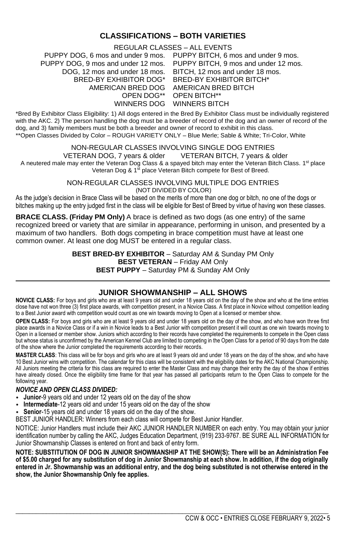### **CLASSIFICATIONS – BOTH VARIETIES**

REGULAR CLASSES – ALL EVENTS PUPPY DOG, 6 mos and under 9 mos. PUPPY BITCH, 6 mos and under 9 mos. PUPPY DOG, 9 mos and under 12 mos. DOG, 12 mos and under 18 mos. BRED-BY EXHIBITOR DOG\* AMERICAN BRED DOG AMERICAN BRED BITCH OPEN DOG\*\* OPEN BITCH\*\* WINNERS DOG WINNERS BITCH PUPPY BITCH, 9 mos and under 12 mos. BITCH, 12 mos and under 18 mos. BRED-BY EXHIBITOR BITCH\*

\*Bred By Exhibitor Class Eligibility: 1) All dogs entered in the Bred By Exhibitor Class must be individually registered with the AKC. 2) The person handling the dog must be a breeder of record of the dog and an owner of record of the dog, and 3) family members must be both a breeder and owner of record to exhibit in this class. \*\*Open Classes Divided by Color – ROUGH VARIETY ONLY – Blue Merle; Sable & White; Tri-Color, White

NON-REGULAR CLASSES INVOLVING SINGLE DOG ENTRIES

VETERAN DOG, 7 years & older VETERAN BITCH, 7 years & older

A neutered male may enter the Veteran Dog Class & a spayed bitch may enter the Veteran Bitch Class. 1<sup>st</sup> place Veteran Dog & 1<sup>st</sup> place Veteran Bitch compete for Best of Breed.

> NON-REGULAR CLASSES INVOLVING MULTIPLE DOG ENTRIES (NOT DIVIDED BY COLOR)

As the judge's decision in Brace Class will be based on the merits of more than one dog or bitch, no one of the dogs or bitches making up the entry judged first in the class will be eligible for Best of Breed by virtue of having won these classes.

**BRACE CLASS. (Friday PM Only)** A brace is defined as two dogs (as one entry) of the same recognized breed or variety that are similar in appearance, performing in unison, and presented by a maximum of two handlers. Both dogs competing in brace competition must have at least one common owner. At least one dog MUST be entered in a regular class.

> **BEST BRED-BY EXHIBITOR** – Saturday AM & Sunday PM Only **BEST VETERAN** – Friday AM Only **BEST PUPPY** – Saturday PM & Sunday AM Only

### **JUNIOR SHOWMANSHIP – ALL SHOWS**

**NOVICE CLASS:** For boys and girls who are at least 9 years old and under 18 years old on the day of the show and who at the time entries close have not won three (3) first place awards, with competition present, in a Novice Class. A first place in Novice without competition leading to a Best Junior award with competition would count as one win towards moving to Open at a licensed or member show.

**OPEN CLASS:** For boys and girls who are at least 9 years old and under 18 years old on the day of the show, and who have won three first place awards in a Novice Class or if a win in Novice leads to a Best Junior with competition present it will count as one win towards moving to Open in a licensed or member show. Juniors which according to their records have completed the requirements to compete in the Open class but whose status is unconfirmed by the American Kennel Club are limited to competing in the Open Class for a period of 90 days from the date of the show where the Junior completed the requirements according to their records.

**MASTER CLASS**: This class will be for boys and girls who are at least 9 years old and under 18 years on the day of the show, and who have 10 Best Junior wins with competition. The calendar for this class will be consistent with the eligibility dates for the AKC National Championship. All Juniors meeting the criteria for this class are required to enter the Master Class and may change their entry the day of the show if entries have already closed. Once the eligibility time frame for that year has passed all participants return to the Open Class to compete for the following year.

#### *NOVICE AND OPEN CLASS DIVIDED:*

- **Junior**-9 years old and under 12 years old on the day of the show
- **Intermediate**-12 years old and under 15 years old on the day of the show
- **Senior**-15 years old and under 18 years old on the day of the show.

BEST JUNIOR HANDLER: Winners from each class will compete for Best Junior Handler.

NOTICE: Junior Handlers must include their AKC JUNIOR HANDLER NUMBER on each entry. You may obtain your junior identification number by calling the AKC, Judges Education Department, (919) 233-9767. BE SURE ALL INFORMATION for Junior Showmanship Classes is entered on front and back of entry form.

**NOTE: SUBSTITUTION OF DOG IN JUNIOR SHOWMANSHIP AT THE SHOW(S): There will be an Administration Fee of \$5.00 charged for any substitution of dog in Junior Showmanship at each show. In addition, if the dog originally entered in Jr. Showmanship was an additional entry, and the dog being substituted is not otherwise entered in the show, the Junior Showmanship Only fee applies.**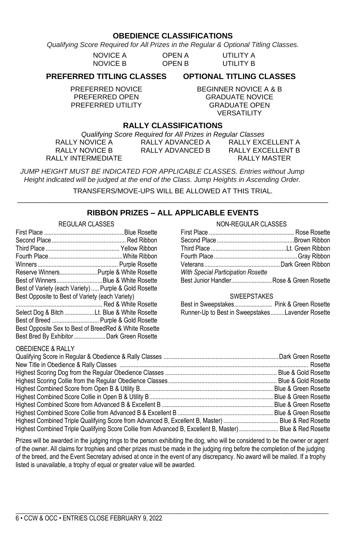### **OBEDIENCE CLASSIFICATIONS**

*Qualifying Score Required for All Prizes in the Regular & Optional Titling Classes.*

NOVICE A NOVICE B OPEN A OPEN B UTILITY A UTILITY B

### **PREFERRED TITLING CLASSES OPTIONAL TITLING CLASSES**

PREFERRED NOVICE PREFERRED OPEN PREFERRED UTILITY

BEGINNER NOVICE A & B GRADUATE NOVICE GRADUATE OPEN VERSATILITY

#### **RALLY CLASSIFICATIONS**

RALLY NOVICE A RALLY NOVICE B RALLY INTERMEDIATE

*Qualifying Score Required for All Prizes in Regular Classes* RALLY ADVANCED A RALLY EXCELLENT A RALLY ADVANCED B

RALLY EXCELLENT B RALLY MASTER

*JUMP HEIGHT MUST BE INDICATED FOR APPLICABLE CLASSES. Entries without Jump Height indicated will be judged at the end of the Class. Jump Heights in Ascending Order.*

TRANSFERS/MOVE-UPS WILL BE ALLOWED AT THIS TRIAL. \_\_\_\_\_\_\_\_\_\_\_\_\_\_\_\_\_\_\_\_\_\_\_\_\_\_\_\_\_\_\_\_\_\_\_\_\_\_\_\_\_\_\_\_\_\_\_\_\_\_\_\_\_\_\_\_\_\_\_\_\_\_\_\_\_\_\_\_\_\_\_\_\_\_\_\_\_\_\_\_

### **RIBBON PRIZES – ALL APPLICABLE EVENTS**

#### REGULAR CLASSES

| Reserve WinnersPurple & White Rosette                 |
|-------------------------------------------------------|
| Best of WinnersBlue & White Rosette                   |
| Best of Variety (each Variety)  Purple & Gold Rosette |
| Best Opposite to Best of Variety (each Variety)       |
|                                                       |
| Select Dog & Bitch Lt. Blue & White Rosette           |
| Best of Breed  Purple & Gold Rosette                  |
| Best Opposite Sex to Best of BreedRed & White Rosette |
| Best Bred By Exhibitor  Dark Green Rosette            |
|                                                       |

#### NON-REGULAR CLASSES

| <b>With Special Participation Rosette</b> |  |
|-------------------------------------------|--|
| Best Junior HandlerRose & Green Rosette   |  |
|                                           |  |

#### SWEEPSTAKES

| Best in Sweepstakes Pink & Green Rosette         |  |
|--------------------------------------------------|--|
| Runner-Up to Best in SweepstakesLavender Rosette |  |

#### OBEDIENCE & RALLY

| Highest Combined Triple Qualifying Score Collie from Advanced B, Excellent B, Master)  Blue & Red Rosette |  |
|-----------------------------------------------------------------------------------------------------------|--|

Prizes will be awarded in the judging rings to the person exhibiting the dog, who will be considered to be the owner or agent of the owner. All claims for trophies and other prizes must be made in the judging ring before the completion of the judging of the breed, and the Event Secretary advised at once in the event of any discrepancy. No award will be mailed. If a trophy listed is unavailable, a trophy of equal or greater value will be awarded.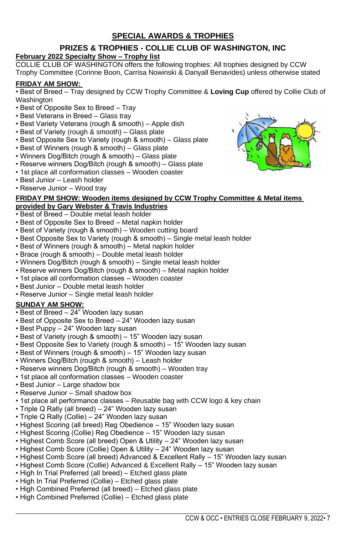### **SPECIAL AWARDS & TROPHIES**

#### **PRIZES & TROPHIES - COLLIE CLUB OF WASHINGTON, INC February 2022 Specialty Show – Trophy list**

COLLIE CLUB OF WASHINGTON offers the following trophies: All trophies designed by CCW Trophy Committee (Corinne Boon, Carrisa Nowinski & Danyall Benavides) unless otherwise stated

### **FRIDAY AM SHOW:**

• Best of Breed – Tray designed by CCW Trophy Committee & **Loving Cup** offered by Collie Club of Washington

- Best of Opposite Sex to Breed Tray
- Best Veterans in Breed Glass tray
- Best Variety Veterans (rough & smooth) Apple dish
- Best of Variety (rough & smooth) Glass plate
- Best Opposite Sex to Variety (rough & smooth) Glass plate
- Best of Winners (rough & smooth) Glass plate
- Winners Dog/Bitch (rough & smooth) Glass plate
- Reserve winners Dog/Bitch (rough & smooth) Glass plate
- 1st place all conformation classes Wooden coaster
- Best Junior Leash holder
- Reserve Junior Wood tray

#### **FRIDAY PM SHOW: Wooden items designed by CCW Trophy Committee & Metal items provided by Gary Webster & Travis Industries**

- Best of Breed Double metal leash holder
- Best of Opposite Sex to Breed Metal napkin holder
- Best of Variety (rough & smooth) Wooden cutting board
- Best Opposite Sex to Variety (rough & smooth) Single metal leash holder
- Best of Winners (rough & smooth) Metal napkin holder
- Brace (rough & smooth) Double metal leash holder
- Winners Dog/Bitch (rough & smooth) Single metal leash holder
- Reserve winners Dog/Bitch (rough & smooth) Metal napkin holder
- 1st place all conformation classes Wooden coaster
- Best Junior Double metal leash holder
- Reserve Junior Single metal leash holder

#### **SUNDAY AM SHOW:**

- Best of Breed 24" Wooden lazy susan
- Best of Opposite Sex to Breed 24" Wooden lazy susan
- Best Puppy 24" Wooden lazy susan
- Best of Variety (rough & smooth) 15" Wooden lazy susan
- Best Opposite Sex to Variety (rough & smooth) 15" Wooden lazy susan
- Best of Winners (rough & smooth) 15" Wooden lazy susan
- Winners Dog/Bitch (rough & smooth) Leash holder
- Reserve winners Dog/Bitch (rough & smooth) Wooden tray
- 1st place all conformation classes Wooden coaster
- Best Junior Large shadow box
- Reserve Junior Small shadow box
- 1st place all performance classes Reusable bag with CCW logo & key chain
- Triple Q Rally (all breed) 24" Wooden lazy susan
- Triple Q Rally (Collie) 24" Wooden lazy susan
- Highest Scoring (all breed) Reg Obedience 15" Wooden lazy susan
- Highest Scoring (Collie) Reg Obedience 15" Wooden lazy susan
- Highest Comb Score (all breed) Open & Utility 24" Wooden lazy susan
- Highest Comb Score (Collie) Open & Utility 24" Wooden lazy susan
- Highest Comb Score (all breed) Advanced & Excellent Rally 15" Wooden lazy susan
- Highest Comb Score (Collie) Advanced & Excellent Rally 15" Wooden lazy susan
- High In Trial Preferred (all breed) Etched glass plate
- High In Trial Preferred (Collie) Etched glass plate
- High Combined Preferred (all breed) Etched glass plate
- High Combined Preferred (Collie) Etched glass plate

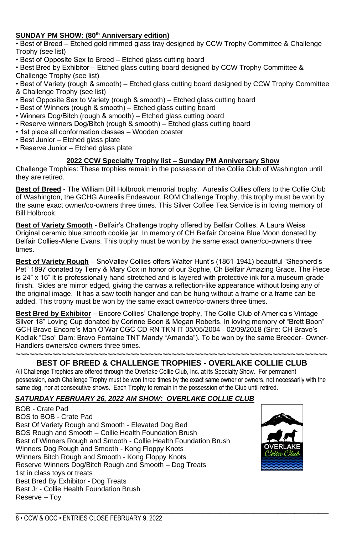#### **SUNDAY PM SHOW: (80th Anniversary edition)**

• Best of Breed – Etched gold rimmed glass tray designed by CCW Trophy Committee & Challenge Trophy (see list)

- Best of Opposite Sex to Breed Etched glass cutting board
- Best Bred by Exhibitor Etched glass cutting board designed by CCW Trophy Committee & Challenge Trophy (see list)
- Best of Variety (rough & smooth) Etched glass cutting board designed by CCW Trophy Committee & Challenge Trophy (see list)
- Best Opposite Sex to Variety (rough & smooth) Etched glass cutting board
- Best of Winners (rough & smooth) Etched glass cutting board
- Winners Dog/Bitch (rough & smooth) Etched glass cutting board
- Reserve winners Dog/Bitch (rough & smooth) Etched glass cutting board
- 1st place all conformation classes Wooden coaster
- Best Junior Etched glass plate
- Reserve Junior Etched glass plate

#### **2022 CCW Specialty Trophy list – Sunday PM Anniversary Show**

Challenge Trophies: These trophies remain in the possession of the Collie Club of Washington until they are retired.

**Best of Breed** - The William Bill Holbrook memorial trophy. Aurealis Collies offers to the Collie Club of Washington, the GCHG Aurealis Endeavour, ROM Challenge Trophy, this trophy must be won by the same exact owner/co-owners three times. This Silver Coffee Tea Service is in loving memory of Bill Holbrook.

**Best of Variety Smooth** - Belfair's Challenge trophy offered by Belfair Collies. A Laura Weiss Original ceramic blue smooth cookie jar. In memory of CH Belfair Onceina Blue Moon donated by Belfair Collies-Alene Evans. This trophy must be won by the same exact owner/co-owners three times.

**Best of Variety Rough** – SnoValley Collies offers Walter Hunt's (1861-1941) beautiful "Shepherd's Pet" 1897 donated by Terry & Mary Cox in honor of our Sophie, Ch Belfair Amazing Grace. The Piece is 24" x 16" it is professionally hand-stretched and is layered with protective ink for a museum-grade finish. Sides are mirror edged, giving the canvas a reflection-like appearance without losing any of the original image. It has a saw tooth hanger and can be hung without a frame or a frame can be added. This trophy must be won by the same exact owner/co-owners three times.

**Best Bred by Exhibitor** – Encore Collies' Challenge trophy, The Collie Club of America's Vintage Silver 18" Loving Cup donated by Corinne Boon & Megan Roberts. In loving memory of "Brett Boon" GCH Bravo Encore's Man O'War CGC CD RN TKN IT 05/05/2004 - 02/09/2018 (Sire: CH Bravo's Kodiak "Oso" Dam: Bravo Fontaine TNT Mandy "Amanda"). To be won by the same Breeder- Owner-Handlers owners/co-owners three times.

#### **~~~~~~~~~~~~~~~~~~~~~~~~~~~~~~~~~~~~~~~~~~~~~~~~~~~~~~~~~~~~~~~~~~~~ BEST OF BREED & CHALLENGE TROPHIES - OVERLAKE COLLIE CLUB**

All Challenge Trophies are offered through the Overlake Collie Club, Inc. at its Specialty Show. For permanent possession, each Challenge Trophy must be won three times by the exact same owner or owners, not necessarily with the same dog, nor at consecutive shows. Each Trophy to remain in the possession of the Club until retired.

#### *SATURDAY FEBRUARY 26, 2022 AM SHOW: OVERLAKE COLLIE CLUB*

BOB - Crate Pad BOS to BOB - Crate Pad Best Of Variety Rough and Smooth - Elevated Dog Bed BOS Rough and Smooth – Collie Health Foundation Brush Best of Winners Rough and Smooth - Collie Health Foundation Brush Winners Dog Rough and Smooth - Kong Floppy Knots Winners Bitch Rough and Smooth - Kong Floppy Knots Reserve Winners Dog/Bitch Rough and Smooth – Dog Treats 1st in class toys or treats Best Bred By Exhibitor - Dog Treats Best Jr - Collie Health Foundation Brush Reserve – Toy

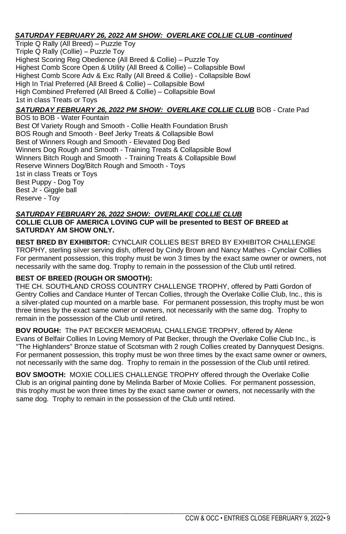#### *SATURDAY FEBRUARY 26, 2022 AM SHOW: OVERLAKE COLLIE CLUB -continued*

Triple Q Rally (All Breed) – Puzzle Toy Triple Q Rally (Collie) – Puzzle Toy Highest Scoring Reg Obedience (All Breed & Collie) – Puzzle Toy Highest Comb Score Open & Utility (All Breed & Collie) – Collapsible Bowl Highest Comb Score Adv & Exc Rally (All Breed & Collie) - Collapsible Bowl High In Trial Preferred (All Breed & Collie) – Collapsible Bowl High Combined Preferred (All Breed & Collie) – Collapsible Bowl 1st in class Treats or Toys

#### *SATURDAY FEBRUARY 26, 2022 PM SHOW: OVERLAKE COLLIE CLUB* BOB - Crate Pad

BOS to BOB - Water Fountain Best Of Variety Rough and Smooth - Collie Health Foundation Brush BOS Rough and Smooth - Beef Jerky Treats & Collapsible Bowl Best of Winners Rough and Smooth - Elevated Dog Bed Winners Dog Rough and Smooth - Training Treats & Collapsible Bowl Winners Bitch Rough and Smooth - Training Treats & Collapsible Bowl Reserve Winners Dog/Bitch Rough and Smooth - Toys 1st in class Treats or Toys Best Puppy - Dog Toy Best Jr - Giggle ball Reserve - Toy

#### *SATURDAY FEBRUARY 26, 2022 SHOW: OVERLAKE COLLIE CLUB* **COLLIE CLUB OF AMERICA LOVING CUP will be presented to BEST OF BREED at SATURDAY AM SHOW ONLY.**

**BEST BRED BY EXHIBITOR:** CYNCLAIR COLLIES BEST BRED BY EXHIBITOR CHALLENGE TROPHY, sterling silver serving dish, offered by Cindy Brown and Nancy Mathes - Cynclair Colllies For permanent possession, this trophy must be won 3 times by the exact same owner or owners, not necessarily with the same dog. Trophy to remain in the possession of the Club until retired.

#### **BEST OF BREED (ROUGH OR SMOOTH):**

THE CH. SOUTHLAND CROSS COUNTRY CHALLENGE TROPHY, offered by Patti Gordon of Gentry Collies and Candace Hunter of Tercan Collies, through the Overlake Collie Club, Inc., this is a silver-plated cup mounted on a marble base. For permanent possession, this trophy must be won three times by the exact same owner or owners, not necessarily with the same dog. Trophy to remain in the possession of the Club until retired.

**BOV ROUGH:** The PAT BECKER MEMORIAL CHALLENGE TROPHY, offered by Alene Evans of Belfair Collies In Loving Memory of Pat Becker, through the Overlake Collie Club Inc., is "The Highlanders" Bronze statue of Scotsman with 2 rough Collies created by Dannyquest Designs. For permanent possession, this trophy must be won three times by the exact same owner or owners, not necessarily with the same dog. Trophy to remain in the possession of the Club until retired.

**BOV SMOOTH:** MOXIE COLLIES CHALLENGE TROPHY offered through the Overlake Collie Club is an original painting done by Melinda Barber of Moxie Collies. For permanent possession, this trophy must be won three times by the exact same owner or owners, not necessarily with the same dog. Trophy to remain in the possession of the Club until retired.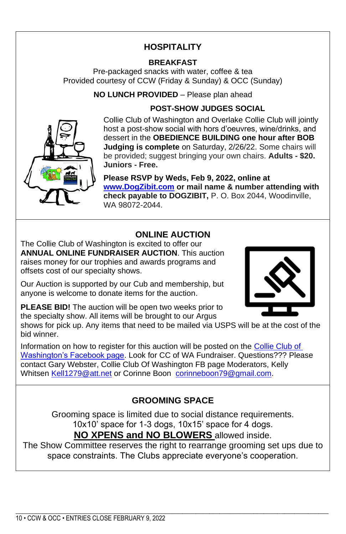## **HOSPITALITY**

### **BREAKFAST**

Pre-packaged snacks with water, coffee & tea Provided courtesy of CCW (Friday & Sunday) & OCC (Sunday)

**NO LUNCH PROVIDED** – Please plan ahead

### **POST-SHOW JUDGES SOCIAL**



Collie Club of Washington and Overlake Collie Club will jointly host a post-show social with hors d'oeuvres, wine/drinks, and dessert in the **OBEDIENCE BUILDING one hour after BOB Judging is complete** on Saturday, 2/26/22. Some chairs will be provided; suggest bringing your own chairs. **Adults - \$20. Juniors - Free.**

**Please RSVP by Weds, Feb 9, 2022, online at [www.DogZibit.com](http://www.dogzibit.com/) or mail name & number attending with check payable to DOGZIBIT,** P. O. Box 2044, Woodinville, WA 98072-2044.

### **ONLINE AUCTION**

The Collie Club of Washington is excited to offer our **ANNUAL ONLINE FUNDRAISER AUCTION**. This auction raises money for our trophies and awards programs and offsets cost of our specialty shows.

Our Auction is supported by our Cub and membership, but anyone is welcome to donate items for the auction.



**PLEASE BID!** The auction will be open two weeks prior to the specialty show. All items will be brought to our Argus

shows for pick up. Any items that need to be mailed via USPS will be at the cost of the bid winner.

Information on how to register for this auction will be posted on the [Collie Club of](https://www.facebook.com/groups/125169600836104)  [Washington's Facebook page.](https://www.facebook.com/groups/125169600836104) Look for CC of WA Fundraiser. Questions??? Please contact Gary Webster, Collie Club Of Washington FB page Moderators, Kelly Whitsen [Kell1279@att.net](mailto:Kell1279@att.net) or Corinne Boon [corinneboon79@gmail.com.](mailto:corinneboon79@gmail.com)

# **GROOMING SPACE**

Grooming space is limited due to social distance requirements. 10x10' space for 1-3 dogs, 10x15' space for 4 dogs. **NO XPENS and NO BLOWERS** allowed inside.

The Show Committee reserves the right to rearrange grooming set ups due to space constraints. The Clubs appreciate everyone's cooperation.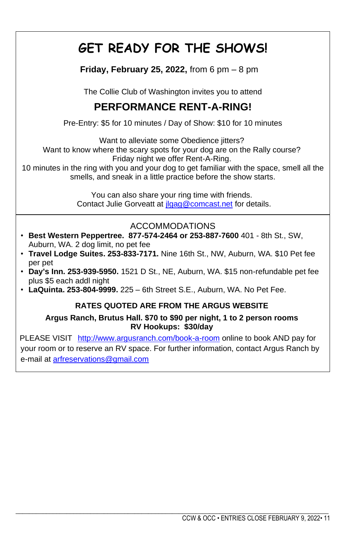# **GET READY FOR THE SHOWS!**

**Friday, February 25, 2022,** from 6 pm – 8 pm

The Collie Club of Washington invites you to attend

# **PERFORMANCE RENT-A-RING!**

Pre-Entry: \$5 for 10 minutes / Day of Show: \$10 for 10 minutes

Want to alleviate some Obedience jitters?

Want to know where the scary spots for your dog are on the Rally course? Friday night we offer Rent-A-Ring.

10 minutes in the ring with you and your dog to get familiar with the space, smell all the smells, and sneak in a little practice before the show starts.

> You can also share your ring time with friends. Contact Julie Gorveatt at *ilgag@comcast.net* for details.

### ACCOMMODATIONS

- **Best Western Peppertree. 877-574-2464 or 253-887-7600** 401 8th St., SW, Auburn, WA. 2 dog limit, no pet fee
- **Travel Lodge Suites. 253-833-7171.** Nine 16th St., NW, Auburn, WA. \$10 Pet fee per pet
- **Day's Inn. 253-939-5950.** 1521 D St., NE, Auburn, WA. \$15 non-refundable pet fee plus \$5 each addl night
- **LaQuinta. 253-804-9999.** 225 6th Street S.E., Auburn, WA. No Pet Fee.

### **RATES QUOTED ARE FROM THE ARGUS WEBSITE**

#### **Argus Ranch, Brutus Hall. \$70 to \$90 per night, 1 to 2 person rooms RV Hookups: \$30/day**

PLEASE VISI[T](http://www.argusranch.com/book-a-room) <http://www.argusranch.com/book-a-room> online to book AND pay for your room or to reserve an RV space. For further information, contact Argus Ranch by e-mail at arfreservations@gmail.com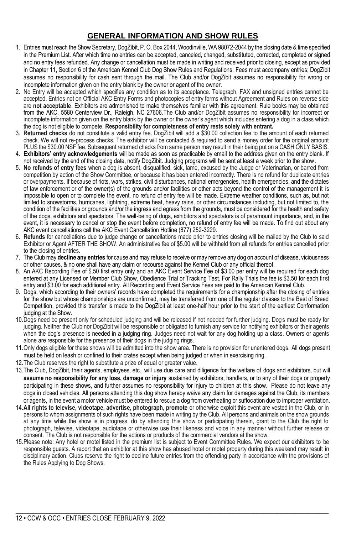### **GENERAL INFORMATION AND SHOW RULES**

- 1. Entries must reach the Show Secretary, DogZibit, P. O. Box 2044, Woodinville, WA 98072-2044 by the closing date & time specified in the Premium List. After which time no entries can be accepted, canceled, changed, substituted, corrected, completed or signed and no entry fees refunded. Any change or cancellation must be made in writing and received prior to closing, except as provided in Chapter 11, Section 6 of the American Kennel Club Dog Show Rules and Regulations. Fees must accompany entries; DogZibit assumes no responsibility for cash sent through the mail. The Club and/or DogZibit assumes no responsibility for wrong or incomplete information given on the entry blank by the owner or agent of the owner.
- 2. No Entry will be accepted which specifies any condition as to its acceptance. Telegraph, FAX and unsigned entries cannot be accepted. Entries not on Official AKC Entry Forms and photocopies of entry forms without Agreement and Rules on reverse side are **not acceptable**. Exhibitors are admonished to make themselves familiar with this agreement. Rule books may be obtained from the AKC, 5580 Centerview Dr., Raleigh, NC 27606.The Club and/or DogZibit assumes no responsibility for incorrect or incomplete information given on the entry blank by the owner or the owner's agent which includes entering a dog in a class which the dog is not eligible to compete. **Responsibility for completeness of entry rests solely with entrant.**
- 3. **Returned checks** do not constitute a valid entry fee. DogZibit will add a \$30.00 collection fee to the amount of each returned check. We will not re-process checks. The exhibitor will be contacted & required to send a money order for the original amount PLUS the \$30.00 NSF fee. Subsequent returned checks from same person may result in their being put on a CASH ONLY BASIS.
- 4. **Exhibitors' entry acknowledgements** will be made as soon as practicable by email to the address given on the entry blank. If not received by the end of the closing date, notify DogZibit. Judging programs will be sent at least a week prior to the show.
- 5. **No refunds of entry fees** when a dog is absent, disqualified, sick, lame, excused by the Judge or Veterinarian, or barred from competition by action of the Show Committee, or because it has been entered incorrectly. There is no refund for duplicate entries or overpayments. If because of riots, wars, strikes, civil disturbances, national emergencies, health emergencies, and the dictates of law enforcement or of the owner(s) of the grounds and/or facilities or other acts beyond the control of the management it is impossible to open or to complete the event, no refund of entry fee will be made. Extreme weather conditions, such as, but not limited to snowstorms, hurricanes, lightning, extreme heat, heavy rains, or other circumstances including, but not limited to, the condition of the facilities or grounds and/or the ingress and egress from the grounds, must be considered for the health and safety of the dogs, exhibitors and spectators. The well-being of dogs, exhibitors and spectators is of paramount importance, and, in the event, it is necessary to cancel or stop the event before completion, no refund of entry fee will be made. To find out about any AKC event cancellations call the AKC Event Cancellation Hotline (877) 252-3229.
- 6. **Refunds** for cancellations due to judge change or cancellations made prior to entries closing will be mailed by the Club to said Exhibitor or Agent AFTER THE SHOW. An administrative fee of \$5.00 will be withheld from all refunds for entries cancelled prior to the closing of entries.
- 7. The Club may **decline any entries** for cause and may refuse to receive or may remove any dog on account of disease, viciousness or other causes, & no one shall have any claim or recourse against the Kennel Club or any official thereof.
- 8. An AKC Recording Fee of \$.50 first entry only and an AKC Event Service Fee of \$3.00 per entry will be required for each dog entered at any Licensed or Member Club Show, Obedience Trial or Tracking Test. For Rally Trials the fee is \$3.50 for each first entry and \$3.00 for each additional entry. All Recording and Event Service Fees are paid to the American Kennel Club.
- 9. Dogs, which according to their owners' records have completed the requirements for a championship after the closing of entries for the show but whose championships are unconfirmed, may be transferred from one of the regular classes to the Best of Breed Competition, provided this transfer is made to the DogZibit at least one-half hour prior to the start of the earliest Conformation judging at the Show.
- 10.Dogs need be present only for scheduled judging and will be released if not needed for further judging. Dogs must be ready for judging. Neither the Club nor DogZibit will be responsible or obligated to furnish any service for notifying exhibitors or their agents when the dog's presence is needed in a judging ring. Judges need not wait for any dog holding up a class. Owners or agents alone are responsible for the presence of their dogs in the judging rings.
- 11.Only dogs eligible for these shows will be admitted into the show area. There is no provision for unentered dogs. All dogs present must be held on leash or confined to their crates except when being judged or when in exercising ring.
- 12. The Club reserves the right to substitute a prize of equal or greater value.
- 13.The Club, DogZibit, their agents, employees, etc., will use due care and diligence for the welfare of dogs and exhibitors, but will **assume no responsibility for any loss, damage or injury** sustained by exhibitors, handlers, or to any of their dogs or property participating in these shows, and further assumes no responsibility for injury to children at this show. Please do not leave any dogs in closed vehicles. All persons attending this dog show hereby waive any claim for damages against the Club, its members or agents, in the event a motor vehicle must be entered to rescue a dog from overheating or suffocation due to improper ventilation.
- 14.**All rights to televise, videotape, advertise, photograph, promote** or otherwise exploit this event are vested in the Club, or in persons to whom assignments of such rights have been made in writing by the Club. All persons and animals on the show grounds at any time while the show is in progress, do by attending this show or participating therein, grant to the Club the right to photograph, televise, videotape, audiotape or otherwise use their likeness and voice in any manner without further release or consent. The Club is not responsible for the actions or products of the commercial vendors at the show.
- 15.Please note: Any hotel or motel listed in the premium list is subject to Event Committee Rules. We expect our exhibitors to be responsible guests. A report that an exhibitor at this show has abused hotel or motel property during this weekend may result in disciplinary action. Clubs reserve the right to decline future entries from the offending party in accordance with the provisions of the Rules Applying to Dog Shows.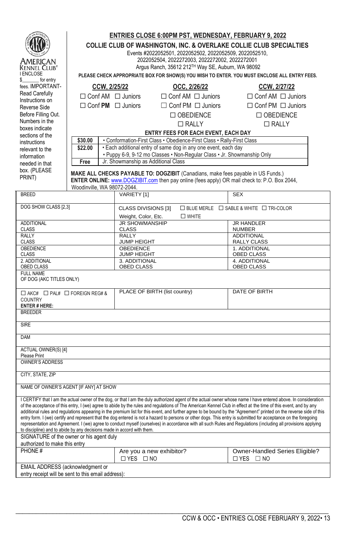|                                                                                                                                                                                                                                                                                                                                  | <b>ENTRIES CLOSE 6:00PM PST, WEDNESDAY, FEBRUARY 9, 2022</b><br><b>COLLIE CLUB OF WASHINGTON, INC. &amp; OVERLAKE COLLIE CLUB SPECIALTIES</b> |                                     |                                                                                                                                                                                  |                                                                                                                                                                                                                                                                                                                                  |
|----------------------------------------------------------------------------------------------------------------------------------------------------------------------------------------------------------------------------------------------------------------------------------------------------------------------------------|-----------------------------------------------------------------------------------------------------------------------------------------------|-------------------------------------|----------------------------------------------------------------------------------------------------------------------------------------------------------------------------------|----------------------------------------------------------------------------------------------------------------------------------------------------------------------------------------------------------------------------------------------------------------------------------------------------------------------------------|
|                                                                                                                                                                                                                                                                                                                                  |                                                                                                                                               |                                     | Events #2022052501, 2022052502, 2022052509, 2022052510,                                                                                                                          |                                                                                                                                                                                                                                                                                                                                  |
| AMERICAN                                                                                                                                                                                                                                                                                                                         |                                                                                                                                               |                                     | 2022052504, 2022272003, 2022272002, 2022272001                                                                                                                                   |                                                                                                                                                                                                                                                                                                                                  |
| Kennel Club®<br><b>I ENCLOSE</b>                                                                                                                                                                                                                                                                                                 |                                                                                                                                               |                                     | Argus Ranch, 35612 212TH Way SE, Auburn, WA 98092                                                                                                                                | PLEASE CHECK APPROPRIATE BOX FOR SHOW(S) YOU WISH TO ENTER. YOU MUST ENCLOSE ALL ENTRY FEES.                                                                                                                                                                                                                                     |
| _ for entry<br>s i                                                                                                                                                                                                                                                                                                               |                                                                                                                                               |                                     |                                                                                                                                                                                  |                                                                                                                                                                                                                                                                                                                                  |
| fees. IMPORTANT-<br><b>Read Carefully</b>                                                                                                                                                                                                                                                                                        | CCW, 2/25/22                                                                                                                                  |                                     | OCC, 2/26/22                                                                                                                                                                     | CCW, 2/27/22                                                                                                                                                                                                                                                                                                                     |
| Instructions on                                                                                                                                                                                                                                                                                                                  | $\Box$ Conf AM $\Box$ Juniors                                                                                                                 |                                     | $\Box$ Conf AM $\Box$ Juniors                                                                                                                                                    | $\Box$ Conf AM $\Box$ Juniors                                                                                                                                                                                                                                                                                                    |
| Reverse Side<br>Before Filling Out.                                                                                                                                                                                                                                                                                              | $\Box$ Conf <b>PM</b> $\Box$ Juniors                                                                                                          |                                     | $\Box$ Conf PM $\Box$ Juniors<br>$\Box$ OBEDIENCE                                                                                                                                | $\Box$ Conf PM $\Box$ Juniors<br>$\Box$ OBEDIENCE                                                                                                                                                                                                                                                                                |
| Numbers in the                                                                                                                                                                                                                                                                                                                   |                                                                                                                                               |                                     | $\Box$ RALLY                                                                                                                                                                     | $\Box$ RALLY                                                                                                                                                                                                                                                                                                                     |
| boxes indicate                                                                                                                                                                                                                                                                                                                   |                                                                                                                                               |                                     | ENTRY FEES FOR EACH EVENT, EACH DAY                                                                                                                                              |                                                                                                                                                                                                                                                                                                                                  |
| sections of the<br>instructions                                                                                                                                                                                                                                                                                                  | \$30.00                                                                                                                                       |                                     | • Conformation-First Class • Obedience-First Class • Rally-First Class                                                                                                           |                                                                                                                                                                                                                                                                                                                                  |
| relevant to the                                                                                                                                                                                                                                                                                                                  | \$22.00                                                                                                                                       |                                     | . Each additional entry of same dog in any one event, each day                                                                                                                   |                                                                                                                                                                                                                                                                                                                                  |
| information                                                                                                                                                                                                                                                                                                                      | Free                                                                                                                                          | Jr. Showmanship as Additional Class | . Puppy 6-9, 9-12 mo Classes . Non-Regular Class . Jr. Showmanship Only                                                                                                          |                                                                                                                                                                                                                                                                                                                                  |
| needed in that<br>box. (PLEASE                                                                                                                                                                                                                                                                                                   |                                                                                                                                               |                                     |                                                                                                                                                                                  |                                                                                                                                                                                                                                                                                                                                  |
| PRINT)                                                                                                                                                                                                                                                                                                                           |                                                                                                                                               |                                     | MAKE ALL CHECKS PAYABLE TO: DOGZIBIT (Canadians, make fees payable in US Funds.)<br>ENTER ONLINE: www.DOGZIBIT.com then pay online (fees apply) OR mail check to: P.O. Box 2044, |                                                                                                                                                                                                                                                                                                                                  |
|                                                                                                                                                                                                                                                                                                                                  | Woodinville, WA 98072-2044.                                                                                                                   |                                     |                                                                                                                                                                                  |                                                                                                                                                                                                                                                                                                                                  |
| <b>BREED</b>                                                                                                                                                                                                                                                                                                                     |                                                                                                                                               | VARIETY [1]                         |                                                                                                                                                                                  | <b>SEX</b>                                                                                                                                                                                                                                                                                                                       |
| DOG SHOW CLASS [2,3]                                                                                                                                                                                                                                                                                                             |                                                                                                                                               | <b>CLASS DIVISIONS [3]</b>          |                                                                                                                                                                                  | □ BLUE MERLE □ SABLE & WHITE □ TRI-COLOR                                                                                                                                                                                                                                                                                         |
|                                                                                                                                                                                                                                                                                                                                  |                                                                                                                                               | Weight, Color, Etc.                 | $\square$ WHITE                                                                                                                                                                  |                                                                                                                                                                                                                                                                                                                                  |
| <b>ADDITIONAL</b><br><b>CLASS</b>                                                                                                                                                                                                                                                                                                |                                                                                                                                               | <b>JR SHOWMANSHIP</b><br>CLASS      |                                                                                                                                                                                  | <b>JR HANDLER</b><br><b>NUMBER</b>                                                                                                                                                                                                                                                                                               |
| <b>RALLY</b><br><b>CLASS</b>                                                                                                                                                                                                                                                                                                     |                                                                                                                                               | <b>RALLY</b><br>JUMP HEIGHT         |                                                                                                                                                                                  | <b>ADDITIONAL</b><br>RALLY CLASS                                                                                                                                                                                                                                                                                                 |
| <b>OBEDIENCE</b>                                                                                                                                                                                                                                                                                                                 |                                                                                                                                               | <b>OBEDIENCE</b>                    |                                                                                                                                                                                  | 1. ADDITIONAL                                                                                                                                                                                                                                                                                                                    |
| <b>CLASS</b><br>2. ADDITIONAL                                                                                                                                                                                                                                                                                                    |                                                                                                                                               | <b>JUMP HEIGHT</b><br>3. ADDITIONAL |                                                                                                                                                                                  | OBED CLASS<br>4. ADDITIONAL                                                                                                                                                                                                                                                                                                      |
| OBED CLASS                                                                                                                                                                                                                                                                                                                       |                                                                                                                                               | OBED CLASS                          |                                                                                                                                                                                  | OBED CLASS                                                                                                                                                                                                                                                                                                                       |
| <b>FULL NAME</b><br>OF DOG (AKC TITLES ONLY)                                                                                                                                                                                                                                                                                     |                                                                                                                                               |                                     |                                                                                                                                                                                  |                                                                                                                                                                                                                                                                                                                                  |
| $\Box$ AKC# $\Box$ PAL# $\Box$ FOREIGN REG# &                                                                                                                                                                                                                                                                                    |                                                                                                                                               |                                     | PLACE OF BIRTH (list country)                                                                                                                                                    | DATE OF BIRTH                                                                                                                                                                                                                                                                                                                    |
| <b>COUNTRY</b>                                                                                                                                                                                                                                                                                                                   |                                                                                                                                               |                                     |                                                                                                                                                                                  |                                                                                                                                                                                                                                                                                                                                  |
| <b>ENTER # HERE:</b><br><b>BREEDER</b>                                                                                                                                                                                                                                                                                           |                                                                                                                                               |                                     |                                                                                                                                                                                  |                                                                                                                                                                                                                                                                                                                                  |
|                                                                                                                                                                                                                                                                                                                                  |                                                                                                                                               |                                     |                                                                                                                                                                                  |                                                                                                                                                                                                                                                                                                                                  |
| <b>SIRE</b>                                                                                                                                                                                                                                                                                                                      |                                                                                                                                               |                                     |                                                                                                                                                                                  |                                                                                                                                                                                                                                                                                                                                  |
| DAM                                                                                                                                                                                                                                                                                                                              |                                                                                                                                               |                                     |                                                                                                                                                                                  |                                                                                                                                                                                                                                                                                                                                  |
| <b>ACTUAL OWNER(S)[4]</b>                                                                                                                                                                                                                                                                                                        |                                                                                                                                               |                                     |                                                                                                                                                                                  |                                                                                                                                                                                                                                                                                                                                  |
| Please Print<br><b>OWNER'S ADDRESS</b>                                                                                                                                                                                                                                                                                           |                                                                                                                                               |                                     |                                                                                                                                                                                  |                                                                                                                                                                                                                                                                                                                                  |
| CITY, STATE, ZIP                                                                                                                                                                                                                                                                                                                 |                                                                                                                                               |                                     |                                                                                                                                                                                  |                                                                                                                                                                                                                                                                                                                                  |
|                                                                                                                                                                                                                                                                                                                                  | NAME OF OWNER'S AGENT [IF ANY] AT SHOW                                                                                                        |                                     |                                                                                                                                                                                  |                                                                                                                                                                                                                                                                                                                                  |
|                                                                                                                                                                                                                                                                                                                                  |                                                                                                                                               |                                     |                                                                                                                                                                                  |                                                                                                                                                                                                                                                                                                                                  |
|                                                                                                                                                                                                                                                                                                                                  |                                                                                                                                               |                                     |                                                                                                                                                                                  | I CERTIFY that I am the actual owner of the dog, or that I am the duly authorized agent of the actual owner whose name I have entered above. In consideration<br>of the acceptance of this entry, I (we) agree to abide by the rules and regulations of The American Kennel Club in effect at the time of this event, and by any |
|                                                                                                                                                                                                                                                                                                                                  |                                                                                                                                               |                                     |                                                                                                                                                                                  | additional rules and requlations appearing in the premium list for this event, and further agree to be bound by the "Agreement" printed on the reverse side of this                                                                                                                                                              |
| entry form. I (we) certify and represent that the dog entered is not a hazard to persons or other dogs. This entry is submitted for acceptance on the foregoing<br>representation and Agreement. I (we) agree to conduct myself (ourselves) in accordance with all such Rules and Regulations (including all provisions applying |                                                                                                                                               |                                     |                                                                                                                                                                                  |                                                                                                                                                                                                                                                                                                                                  |
| to discipline) and to abide by any decisions made in accord with them.                                                                                                                                                                                                                                                           |                                                                                                                                               |                                     |                                                                                                                                                                                  |                                                                                                                                                                                                                                                                                                                                  |
| SIGNATURE of the owner or his agent duly<br>authorized to make this entry                                                                                                                                                                                                                                                        |                                                                                                                                               |                                     |                                                                                                                                                                                  |                                                                                                                                                                                                                                                                                                                                  |
| PHONE#                                                                                                                                                                                                                                                                                                                           |                                                                                                                                               |                                     | Are you a new exhibitor?                                                                                                                                                         | Owner-Handled Series Eligible?                                                                                                                                                                                                                                                                                                   |
|                                                                                                                                                                                                                                                                                                                                  | $\Box$ YES $\Box$ NO<br>$\square$ YES<br>$\square$ NO                                                                                         |                                     |                                                                                                                                                                                  |                                                                                                                                                                                                                                                                                                                                  |
| EMAIL ADDRESS (acknowledgment or<br>entry receipt will be sent to this email address):                                                                                                                                                                                                                                           |                                                                                                                                               |                                     |                                                                                                                                                                                  |                                                                                                                                                                                                                                                                                                                                  |
|                                                                                                                                                                                                                                                                                                                                  |                                                                                                                                               |                                     |                                                                                                                                                                                  |                                                                                                                                                                                                                                                                                                                                  |

\_\_\_\_\_\_\_\_\_\_\_\_\_\_\_\_\_\_\_\_\_\_\_\_\_\_\_\_\_\_\_\_\_\_\_\_\_\_\_\_\_\_\_\_\_\_\_\_\_\_\_\_\_\_\_\_\_\_\_\_\_\_\_\_\_\_\_\_\_\_\_\_\_\_\_\_\_\_\_\_\_\_\_\_\_\_\_\_\_\_\_\_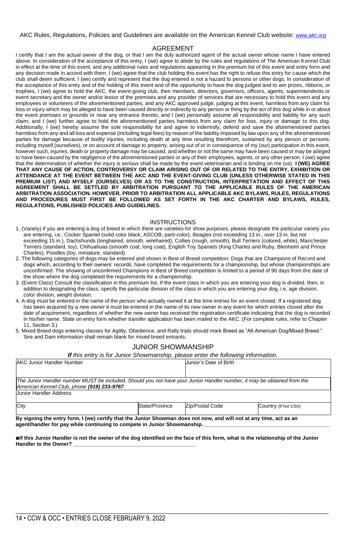AKC Rules, Regulations, Policies and Guidelines are available on the American Kennel Club website: *[www.akc.org](http://www.akc.org/)*

#### AGREEMENT

I certify that I am the actual owner of the dog, or that I am the duly authorized agent of the actual owner whose name I have entered above. In consideration of the acceptance of this entry, I (we) agree to abide by the rules and regulations of The American Kennel Club in effect at the time of this event, and any additional rules and regulations appearing in the premium list of this event and entry form and any decision made in accord with them. I (we) agree that the club holding this event has the right to refuse this entry for cause which the club shall deem sufficient. I (we) certify and represent that the dog entered is not a hazard to persons or other dogs. In consideration of the acceptance of this entry and of the holding of this event and of the opportunity to have the dog judged and to win prizes, ribbons, or trophies, I (we) agree to hold the AKC, the event-giving club, their members, directors, governors, officers, agents, superintendents or event secretary and the owner and/or lessor of the premises and any provider of services that are necessary to hold this event and any employees or volunteers of the aforementioned parties, and any AKC approved judge, judging at this event, harmless from any claim for loss or injury which may be alleged to have been caused directly or indirectly to any person or thing by the act of this dog while in or about the event premises or grounds or near any entrance thereto, and I (we) personally assume all responsibility and liability for any such claim; and I (we) further agree to hold the aforementioned parties harmless from any claim for loss, injury or damage to this dog. Additionally, I (we) hereby assume the sole responsibility for and agree to indemnify, defend and save the aforementioned parties harmless from any and all loss and expense (including legal fees) by reason of the liability imposed by law upon any of the aforementioned parties for damage because of bodily injuries, including death at any time resulting therefrom, sustained by any person or persons, including myself (ourselves), or on account of damage to property, arising out of or in consequence of my (our) participation in this event, however such, injuries, death or property damage may be caused, and whether or not the same may have been caused or may be alleged to have been caused by the negligence of the aforementioned parties or any of their employees, agents, or any other person. I (we) agree that the determination of whether the injury is serious shall be made by the event veterinarian and is binding on me (us). **I (WE) AGREE THAT ANY CAUSE OF ACTION, CONTROVERSY OR CLAIM ARISING OUT OF OR RELATED TO THE ENTRY, EXHIBITION OR ATTENDANCE AT THE EVENT BETWEEN THE AKC AND THE EVENT-GIVING CLUB (UNLESS OTHERWISE STATED IN THIS PREMIUM LIST) AND MYSELF (OURSELVES) OR AS TO THE CONSTRUCTION, INTERPRETATION AND EFFECT OF THIS AGREEMENT SHALL BE SETTLED BY ARBITRATION PURSUANT TO THE APPLICABLE RULES OF THE AMERICAN ARBITRATION ASSOCIATION. HOWEVER, PRIOR TO ARBITRATION ALL APPLICABLE AKC BYLAWS, RULES, REGULATIONS AND PROCEDURES MUST FIRST BE FOLLOWED AS SET FORTH IN THE AKC CHARTER AND BYLAWS, RULES, REGULATIONS, PUBLISHED POLICIES AND GUIDELINES.**

#### **INSTRUCTIONS**

- 1. (Variety) if you are entering a dog of breed in which there are varieties for show purposes, please designate the particular variety you are entering, i.e., Cocker Spaniel (solid color black, ASCOB, parti-color), Beagles (not exceeding 13 in., over 13 in. but not exceeding 15 in.), Dachshunds (longhaired, smooth, wirehaired), Collies (rough, smooth), Bull Terriers (colored, white), Manchester Terriers (standard, toy), Chihuahuas (smooth coat, long coat), English Toy Spaniels (King Charles and Ruby, Blenheim and Prince Charles), Poodles (toy, miniature, standard).
- 2. The following categories of dogs may be entered and shown in Best of Breed competition: Dogs that are Champions of Record and dogs which, according to their owners' records, have completed the requirements for a championship, but whose championships are unconfirmed. The showing of unconfirmed Champions in Best of Breed competition is limited to a period of 90 days from the date of the show where the dog completed the requirements for a championship.
- 3. (Event Class) Consult the classification in this premium list. If the event class in which you are entering your dog is divided, then, in addition to designating the class, specify the particular division of the class in which you are entering your dog, i.e, age division, color division, weight division.
- 4. A dog must be entered in the name of the person who actually owned it at the time entries for an event closed. If a registered dog has been acquired by a new owner it must be entered in the name of its new owner in any event for which entries closed after the date of acquirement, regardless of whether the new owner has received the registration certificate indicating that the dog is recorded in his/her name. State on entry form whether transfer application has been mailed to the AKC. (For complete rules, refer to Chapter 11, Section 3.)
- 5. Mixed Breed dogs entering classes for Agility, Obedience, and Rally trials should mark Breed as "All-American Dog/Mixed Breed." Sire and Dam information shall remain blank for mixed breed entrants.

#### JUNIOR SHOWMANSHIP

|                                  | If this entry is for Junior Showmanship, please enter the following information. |
|----------------------------------|----------------------------------------------------------------------------------|
| <b>AKC Junior Handler Number</b> | Junior's Date of Birth                                                           |

| The Junior Handler number MUST be included. Should you not have your Junior Handler number, it may be obtained from the<br>American Kennel Club, phone (919) 233-9767.                          |                |                 |                      |  |  |  |
|-------------------------------------------------------------------------------------------------------------------------------------------------------------------------------------------------|----------------|-----------------|----------------------|--|--|--|
| <b>Junior Handler Address</b>                                                                                                                                                                   |                |                 |                      |  |  |  |
| City                                                                                                                                                                                            | State/Province | Zip/Postal Code | Country (if not USA) |  |  |  |
| By signing the entry form, I (we) certify that the Junior Showman does not now, and will not at any time, act as an<br>agent/handler for pay while continuing to compete in Junior Showmanship. |                |                 |                      |  |  |  |

■**If this Junior Handler is not the owner of the dog identified on the face of this form, what is the relationship of the Junior Handler to the Owner? \_\_\_\_\_\_\_\_\_\_\_\_\_\_\_\_\_\_\_\_\_\_\_\_\_\_\_\_\_\_\_\_\_\_\_\_\_\_\_\_\_\_**

\_\_\_\_\_\_\_\_\_\_\_\_\_\_\_\_\_\_\_\_\_\_\_\_\_\_\_\_\_\_\_\_\_\_\_\_\_\_\_\_\_\_\_\_\_\_\_\_\_\_\_\_\_\_\_\_\_\_\_\_\_\_\_\_\_\_\_\_\_\_\_\_\_\_\_\_\_\_\_\_\_\_\_\_\_\_\_\_\_\_\_\_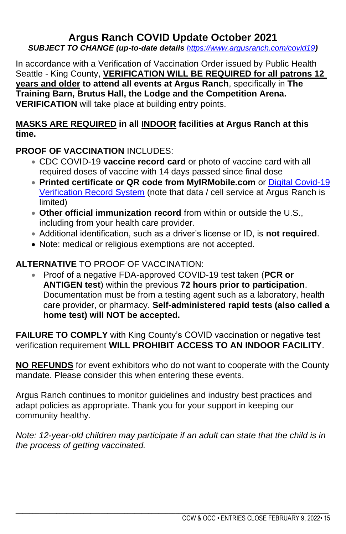# **Argus Ranch COVID Update October 2021**

*SUBJECT TO CHANGE (up-to-date details <https://www.argusranch.com/covid19>)*

In accordance with a Verification of Vaccination Order issued by Public Health Seattle - King County, **VERIFICATION WILL BE REQUIRED for all patrons 12 years and older to attend all events at Argus Ranch**, specifically in **The Training Barn, Brutus Hall, the Lodge and the Competition Arena. VERIFICATION** will take place at building entry points.

### **MASKS ARE REQUIRED in all INDOOR facilities at Argus Ranch at this time.**

### **PROOF OF VACCINATION** INCLUDES:

- CDC COVID-19 **vaccine record card** or photo of vaccine card with all required doses of vaccine with 14 days passed since final dose
- **Printed certificate or QR code from MyIRMobile.com** or [Digital Covid-19](https://waverify.doh.wa.gov/)  [Verification Record System](https://waverify.doh.wa.gov/) (note that data / cell service at Argus Ranch is limited)
- **Other official immunization record** from within or outside the U.S., including from your health care provider.
- Additional identification, such as a driver's license or ID, is **not required**.
- Note: medical or religious exemptions are not accepted.

### **ALTERNATIVE** TO PROOF OF VACCINATION:

• Proof of a negative FDA-approved COVID-19 test taken (**PCR or ANTIGEN test**) within the previous **72 hours prior to participation**. Documentation must be from a testing agent such as a laboratory, health care provider, or pharmacy. **Self-administered rapid tests (also called a home test) will NOT be accepted.**

**FAILURE TO COMPLY** with King County's COVID vaccination or negative test verification requirement **WILL PROHIBIT ACCESS TO AN INDOOR FACILITY**.

**NO REFUNDS** for event exhibitors who do not want to cooperate with the County mandate. Please consider this when entering these events.

Argus Ranch continues to monitor guidelines and industry best practices and adapt policies as appropriate. Thank you for your support in keeping our community healthy.

*Note: 12-year-old children may participate if an adult can state that the child is in the process of getting vaccinated.*